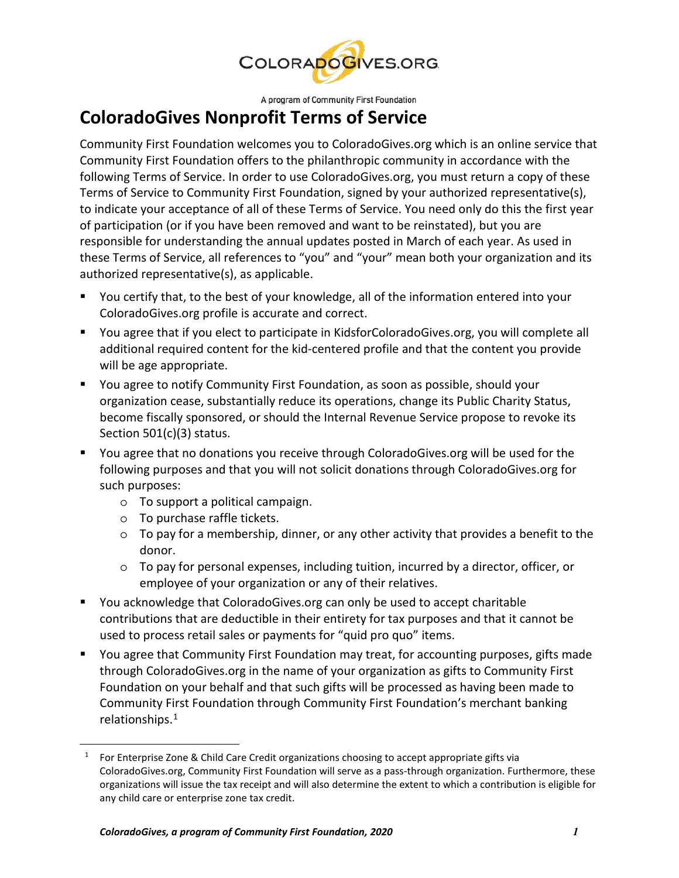

A program of Community First Foundation

## **ColoradoGives Nonprofit Terms of Service**

Community First Foundation welcomes you to ColoradoGives.org which is an online service that Community First Foundation offers to the philanthropic community in accordance with the following Terms of Service. In order to use ColoradoGives.org, you must return a copy of these Terms of Service to Community First Foundation, signed by your authorized representative(s), to indicate your acceptance of all of these Terms of Service. You need only do this the first year of participation (or if you have been removed and want to be reinstated), but you are responsible for understanding the annual updates posted in March of each year. As used in these Terms of Service, all references to "you" and "your" mean both your organization and its authorized representative(s), as applicable.

- You certify that, to the best of your knowledge, all of the information entered into your ColoradoGives.org profile is accurate and correct.
- You agree that if you elect to participate in KidsforColoradoGives.org, you will complete all additional required content for the kid-centered profile and that the content you provide will be age appropriate.
- You agree to notify Community First Foundation, as soon as possible, should your organization cease, substantially reduce its operations, change its Public Charity Status, become fiscally sponsored, or should the Internal Revenue Service propose to revoke its Section 501(c)(3) status.
- You agree that no donations you receive through ColoradoGives.org will be used for the following purposes and that you will not solicit donations through ColoradoGives.org for such purposes:
	- o To support a political campaign.
	- o To purchase raffle tickets.

 $\overline{a}$ 

- o To pay for a membership, dinner, or any other activity that provides a benefit to the donor.
- o To pay for personal expenses, including tuition, incurred by a director, officer, or employee of your organization or any of their relatives.
- You acknowledge that ColoradoGives.org can only be used to accept charitable contributions that are deductible in their entirety for tax purposes and that it cannot be used to process retail sales or payments for "quid pro quo" items.
- You agree that Community First Foundation may treat, for accounting purposes, gifts made through ColoradoGives.org in the name of your organization as gifts to Community First Foundation on your behalf and that such gifts will be processed as having been made to Community First Foundation through Community First Foundation's merchant banking relationships. 1

 $1$  For Enterprise Zone & Child Care Credit organizations choosing to accept appropriate gifts via ColoradoGives.org, Community First Foundation will serve as a pass-through organization. Furthermore, these organizations will issue the tax receipt and will also determine the extent to which a contribution is eligible for any child care or enterprise zone tax credit.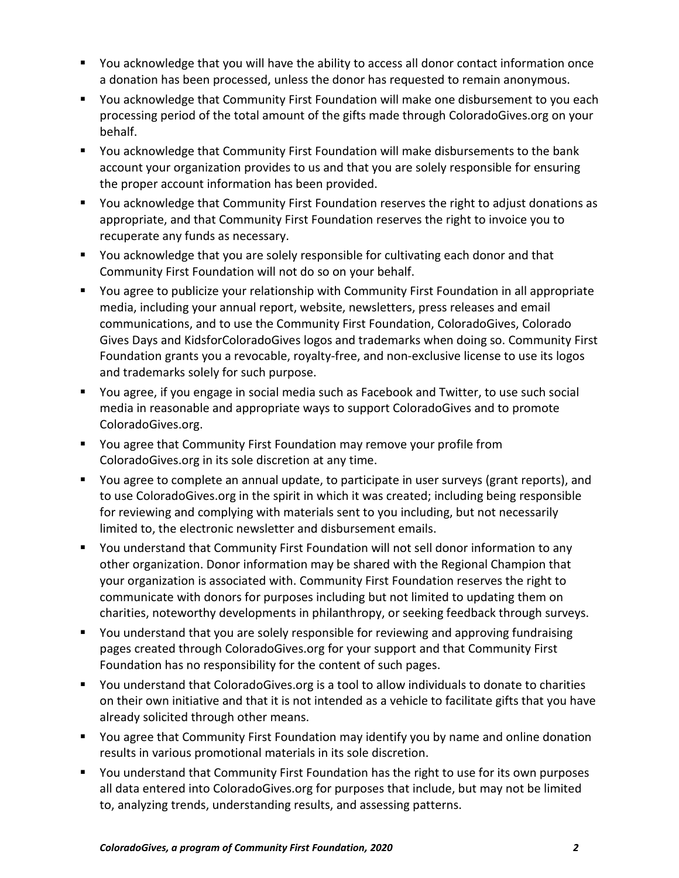- You acknowledge that you will have the ability to access all donor contact information once a donation has been processed, unless the donor has requested to remain anonymous.
- You acknowledge that Community First Foundation will make one disbursement to you each processing period of the total amount of the gifts made through ColoradoGives.org on your behalf.
- You acknowledge that Community First Foundation will make disbursements to the bank account your organization provides to us and that you are solely responsible for ensuring the proper account information has been provided.
- You acknowledge that Community First Foundation reserves the right to adjust donations as appropriate, and that Community First Foundation reserves the right to invoice you to recuperate any funds as necessary.
- You acknowledge that you are solely responsible for cultivating each donor and that Community First Foundation will not do so on your behalf.
- You agree to publicize your relationship with Community First Foundation in all appropriate media, including your annual report, website, newsletters, press releases and email communications, and to use the Community First Foundation, ColoradoGives, Colorado Gives Days and KidsforColoradoGives logos and trademarks when doing so. Community First Foundation grants you a revocable, royalty-free, and non-exclusive license to use its logos and trademarks solely for such purpose.
- You agree, if you engage in social media such as Facebook and Twitter, to use such social media in reasonable and appropriate ways to support ColoradoGives and to promote ColoradoGives.org.
- You agree that Community First Foundation may remove your profile from ColoradoGives.org in its sole discretion at any time.
- You agree to complete an annual update, to participate in user surveys (grant reports), and to use ColoradoGives.org in the spirit in which it was created; including being responsible for reviewing and complying with materials sent to you including, but not necessarily limited to, the electronic newsletter and disbursement emails.
- You understand that Community First Foundation will not sell donor information to any other organization. Donor information may be shared with the Regional Champion that your organization is associated with. Community First Foundation reserves the right to communicate with donors for purposes including but not limited to updating them on charities, noteworthy developments in philanthropy, or seeking feedback through surveys.
- You understand that you are solely responsible for reviewing and approving fundraising pages created through ColoradoGives.org for your support and that Community First Foundation has no responsibility for the content of such pages.
- You understand that ColoradoGives.org is a tool to allow individuals to donate to charities on their own initiative and that it is not intended as a vehicle to facilitate gifts that you have already solicited through other means.
- You agree that Community First Foundation may identify you by name and online donation results in various promotional materials in its sole discretion.
- You understand that Community First Foundation has the right to use for its own purposes all data entered into ColoradoGives.org for purposes that include, but may not be limited to, analyzing trends, understanding results, and assessing patterns.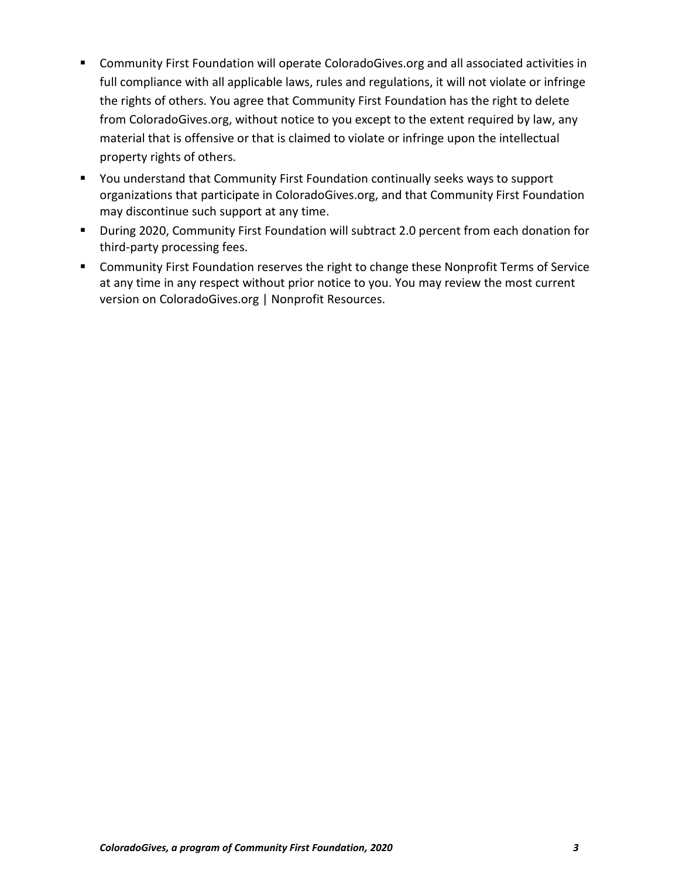- Community First Foundation will operate ColoradoGives.org and all associated activities in full compliance with all applicable laws, rules and regulations, it will not violate or infringe the rights of others. You agree that Community First Foundation has the right to delete from ColoradoGives.org, without notice to you except to the extent required by law, any material that is offensive or that is claimed to violate or infringe upon the intellectual property rights of others.
- You understand that Community First Foundation continually seeks ways to support organizations that participate in ColoradoGives.org, and that Community First Foundation may discontinue such support at any time.
- During 2020, Community First Foundation will subtract 2.0 percent from each donation for third-party processing fees.
- **EXP** Community First Foundation reserves the right to change these Nonprofit Terms of Service at any time in any respect without prior notice to you. You may review the most current version on ColoradoGives.org | Nonprofit Resources.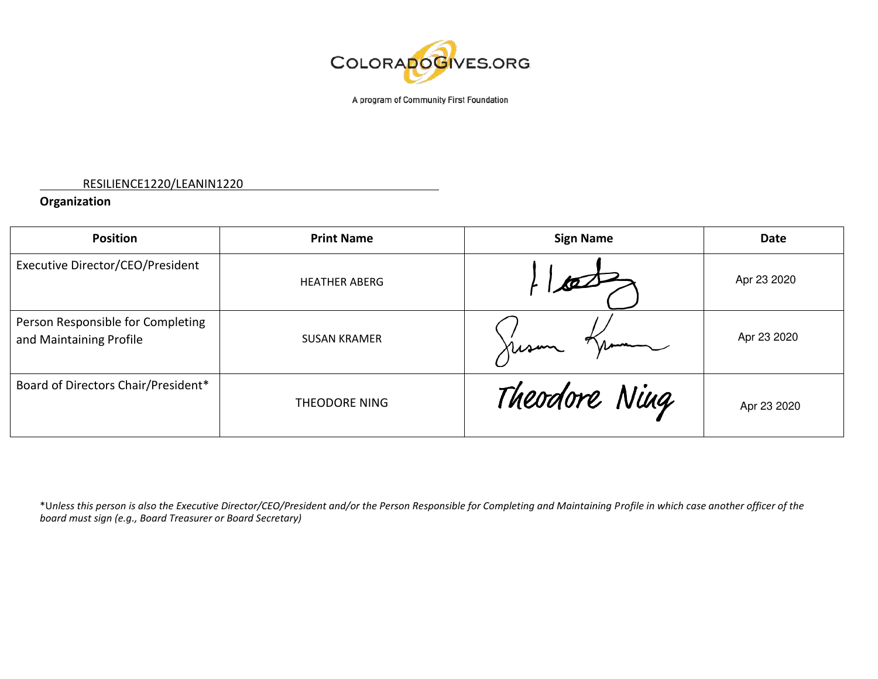

A program of Community First Foundation

#### RESILIENCE1220/LEANIN1220

### **Organization**

| <b>Position</b>                                              | <b>Print Name</b>    | <b>Sign Name</b> | <b>Date</b> |
|--------------------------------------------------------------|----------------------|------------------|-------------|
| Executive Director/CEO/President                             | <b>HEATHER ABERG</b> |                  | Apr 23 2020 |
| Person Responsible for Completing<br>and Maintaining Profile | <b>SUSAN KRAMER</b>  | Kusun            | Apr 23 2020 |
| Board of Directors Chair/President*                          | <b>THEODORE NING</b> | Theodore Ning    | Apr 23 2020 |

\*U*nless this person is also the Executive Director/CEO/President and/or the Person Responsible for Completing and Maintaining Profile in which case another officer of the board must sign (e.g., Board Treasurer or Board Secretary)*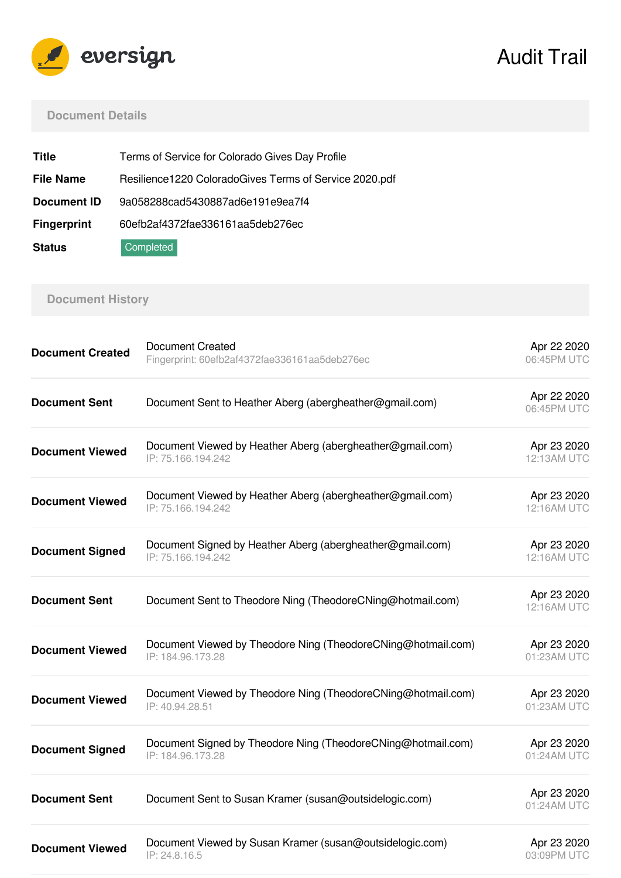

# Audit Trail

### **Document Details**

| <b>Title</b>       | Terms of Service for Colorado Gives Day Profile        |
|--------------------|--------------------------------------------------------|
| <b>File Name</b>   | Resilience1220 ColoradoGives Terms of Service 2020.pdf |
| Document ID        | 9a058288cad5430887ad6e191e9ea7f4                       |
| <b>Fingerprint</b> | 60efb2af4372fae336161aa5deb276ec                       |
| <b>Status</b>      | Completed                                              |

### **Document History**

| <b>Document Created</b> | <b>Document Created</b><br>Fingerprint: 60efb2af4372fae336161aa5deb276ec          | Apr 22 2020<br>06:45PM UTC |
|-------------------------|-----------------------------------------------------------------------------------|----------------------------|
| <b>Document Sent</b>    | Document Sent to Heather Aberg (abergheather@gmail.com)                           | Apr 22 2020<br>06:45PM UTC |
| <b>Document Viewed</b>  | Document Viewed by Heather Aberg (abergheather@gmail.com)<br>IP: 75.166.194.242   | Apr 23 2020<br>12:13AM UTC |
| <b>Document Viewed</b>  | Document Viewed by Heather Aberg (abergheather@gmail.com)<br>IP: 75.166.194.242   | Apr 23 2020<br>12:16AM UTC |
| <b>Document Signed</b>  | Document Signed by Heather Aberg (abergheather@gmail.com)<br>IP: 75.166.194.242   | Apr 23 2020<br>12:16AM UTC |
| <b>Document Sent</b>    | Document Sent to Theodore Ning (TheodoreCNing@hotmail.com)                        | Apr 23 2020<br>12:16AM UTC |
| <b>Document Viewed</b>  | Document Viewed by Theodore Ning (TheodoreCNing@hotmail.com)<br>IP: 184.96.173.28 | Apr 23 2020<br>01:23AM UTC |
| <b>Document Viewed</b>  | Document Viewed by Theodore Ning (TheodoreCNing@hotmail.com)<br>IP: 40.94.28.51   | Apr 23 2020<br>01:23AM UTC |
| <b>Document Signed</b>  | Document Signed by Theodore Ning (TheodoreCNing@hotmail.com)<br>IP: 184.96.173.28 | Apr 23 2020<br>01:24AM UTC |
| <b>Document Sent</b>    | Document Sent to Susan Kramer (susan@outsidelogic.com)                            | Apr 23 2020<br>01:24AM UTC |
| <b>Document Viewed</b>  | Document Viewed by Susan Kramer (susan@outsidelogic.com)<br>IP: 24.8.16.5         | Apr 23 2020<br>03:09PM UTC |